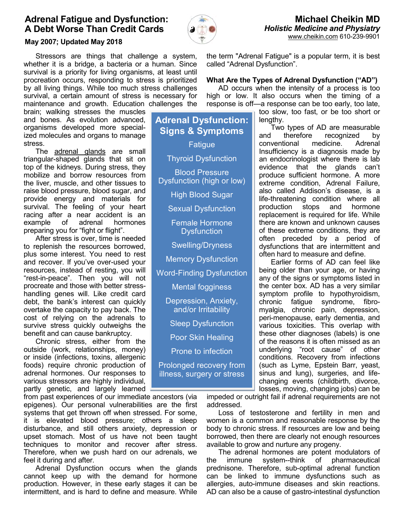# Adrenal Fatigue and Dysfunction: A Debt Worse Than Credit Cards



## May 2007; Updated May 2018

 Stressors are things that challenge a system, whether it is a bridge, a bacteria or a human. Since survival is a priority for living organisms, at least until procreation occurs, responding to stress is prioritized by all living things. While too much stress challenges survival, a certain amount of stress is necessary for maintenance and growth. Education challenges the

brain; walking stresses the muscles and bones. As evolution advanced, organisms developed more specialized molecules and organs to manage stress.

The adrenal glands are small triangular-shaped glands that sit on top of the kidneys. During stress, they mobilize and borrow resources from the liver, muscle, and other tissues to raise blood pressure, blood sugar, and provide energy and materials for survival. The feeling of your heart racing after a near accident is an example of adrenal hormones preparing you for "fight or flight".

 After stress is over, time is needed to replenish the resources borrowed, plus some interest. You need to rest and recover. If you've over-used your resources, instead of resting, you will "rest-in-peace". Then you will not procreate and those with better stresshandling genes will. Like credit card debt, the bank's interest can quickly overtake the capacity to pay back. The cost of relying on the adrenals to survive stress quickly outweighs the benefit and can cause bankruptcy.

 Chronic stress, either from the outside (work, relationships, money) or inside (infections, toxins, allergenic foods) require chronic production of adrenal hormones. Our responses to various stressors are highly individual, partly genetic, and largely learned

from past experiences of our immediate ancestors (via epigenes). Our personal vulnerabilities are the first systems that get thrown off when stressed. For some, it is elevated blood pressure; others a sleep disturbance, and still others anxiety, depression or upset stomach. Most of us have not been taught techniques to monitor and recover after stress. Therefore, when we push hard on our adrenals, we feel it during and after.

 Adrenal Dysfunction occurs when the glands cannot keep up with the demand for hormone production. However, in these early stages it can be intermittent, and is hard to define and measure. While the term "Adrenal Fatigue" is a popular term, it is best called "Adrenal Dysfunction".

### What Are the Types of Adrenal Dysfunction ("AD")

 AD occurs when the intensity of a process is too high or low. It also occurs when the timing of a response is off—a response can be too early, too late,

too slow, too fast, or be too short or lengthy.

 Two types of AD are measurable and therefore recognized by conventional medicine. Adrenal Insufficiency is a diagnosis made by an endocrinologist where there is lab evidence that the glands can't produce sufficient hormone. A more extreme condition, Adrenal Failure, also called Addison's disease, is a life-threatening condition where all production stops and hormone replacement is required for life. While there are known and unknown causes of these extreme conditions, they are often preceded by a period of dysfunctions that are intermittent and often hard to measure and define.

 Earlier forms of AD can feel like being older than your age, or having any of the signs or symptoms listed in the center box. AD has a very similar symptom profile to hypothyroidism, chronic fatigue syndrome, fibromyalgia, chronic pain, depression, peri-menopause, early dementia, and various toxicities. This overlap with these other diagnoses (labels) is one of the reasons it is often missed as an underlying "root cause" of other conditions. Recovery from infections (such as Lyme, Epstein Barr, yeast, sinus and lung), surgeries, and lifechanging events (childbirth, divorce, losses, moving, changing jobs) can be

impeded or outright fail if adrenal requirements are not addressed.

 Loss of testosterone and fertility in men and women is a common and reasonable response by the body to chronic stress. If resources are low and being borrowed, then there are clearly not enough resources available to grow and nurture any progeny.

 The adrenal hormones are potent modulators of the immune system--think of pharmaceutical prednisone. Therefore, sub-optimal adrenal function can be linked to immune dysfunctions such as allergies, auto-immune diseases and skin reactions. AD can also be a cause of gastro-intestinal dysfunction

Adrenal Dysfunction: Signs & Symptoms **Fatigue** Thyroid Dysfunction Blood Pressure Dysfunction (high or low) High Blood Sugar Sexual Dysfunction Female Hormone **Dysfunction** Swelling/Dryness Memory Dysfunction Word-Finding Dysfunction Mental fogginess Depression, Anxiety, and/or Irritability Sleep Dysfunction Poor Skin Healing Prone to infection Prolonged recovery from illness, surgery or stress